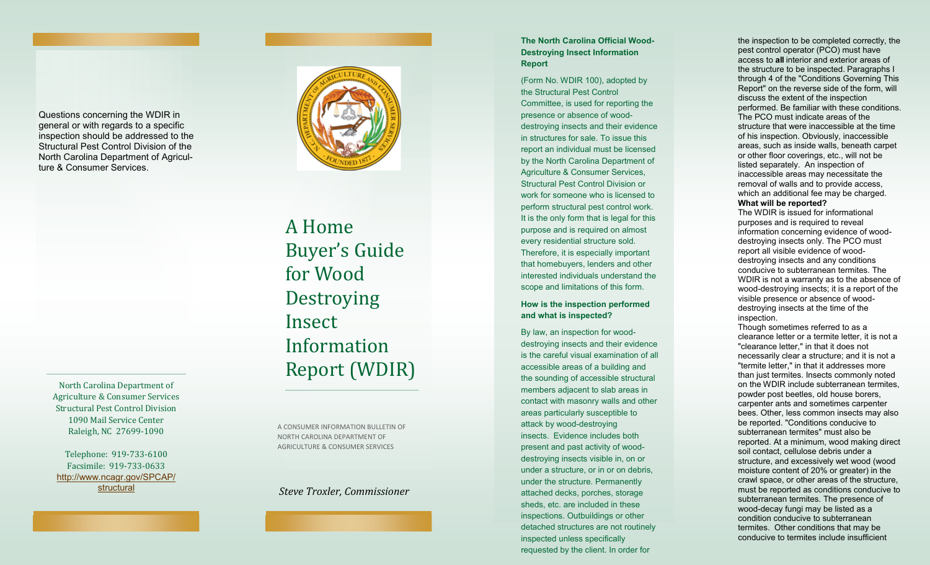Questions concerning the WDIR in general or with regards to a specific inspection should be addressed to the Structural Pest Control Division of the North Carolina Department of Agriculture & Consumer Services.

North Carolina Department of Agriculture & Consumer Services Structural Pest Control Division 1090 Mail Service Center Raleigh, NC 27699 -1090

Telephone: 919 -733 -6100 Facsimile: 919 -733 -0633 [http://www.ncagr.gov/SPCAP/](http://www.ncagr.gov/SPCAP/structural) [structural](http://www.ncagr.gov/SPCAP/structural)



A Home Buyer's Guide for Wood Destroying **Insect** Information Report (WDIR)

A CONSUMER INFORMATION BULLETIN OF NORTH CAROLINA DEPARTMENT OF AGRICULTURE & CONSUMER SERVICES

*Steve Troxler, Commissioner*

# **The North Carolina Official Wood - Destroying Insect Information Report**

(Form No. WDIR 100), adopted by the Structural Pest Control Committee, is used for reporting the presence or absence of wood destroying insects and their evidence in structures for sale. To issue this report an individual must be licensed by the North Carolina Department of Agriculture & Consumer Services, Structural Pest Control Division or work for someone who is licensed to perform structural pest control work. It is the only form that is legal for this purpose and is required on almost every residential structure sold. Therefore, it is especially important that homebuyers, lenders and other interested individuals understand the scope and limitations of this form.

# **How is the inspection performed and what is inspected?**

By law, an inspection for wood destroying insects and their evidence is the careful visual examination of all accessible areas of a building and the sounding of accessible structural members adjacent to slab areas in contact with masonry walls and other areas particularly susceptible to attack by wood -destroying insects. Evidence includes both present and past activity of wood destroying insects visible in, on or under a structure, or in or on debris, under the structure. Permanently attached decks, porches, storage sheds, etc. are included in these inspections. Outbuildings or other detached structures are not routinely inspected unless specifically requested by the client. In order for

the inspection to be completed correctly, the pest control operator (PCO) must have access to **all** interior and exterior areas of the structure to be inspected. Paragraphs I through 4 of the "Conditions Governing This Report" on the reverse side of the form, will discuss the extent of the inspection performed. Be familiar with these conditions. The PCO must indicate areas of the structure that were inaccessible at the time of his inspection. Obviously, inaccessible areas, such as inside walls, beneath carpet or other floor coverings, etc., will not be listed separately. An inspection of inaccessible areas may necessitate the removal of walls and to provide access, which an additional fee may be charged. **What will be reported?** 

The WDIR is issued for informational purposes and is required to reveal information concerning evidence of wood destroying insects only. The PCO must report all visible evidence of wood destroying insects and any conditions conducive to subterranean termites. The WDIR is not a warranty as to the absence of wood -destroying insects; it is a report of the visible presence or absence of wood destroying insects at the time of the inspection.

Though sometimes referred to as a clearance letter or a termite letter, it is not a "clearance letter," in that it does not necessarily clear a structure; and it is not a "termite letter," in that it addresses more than just termites. Insects commonly noted on the WDIR include subterranean termites, powder post beetles, old house borers, carpenter ants and sometimes carpenter bees. Other, less common insects may also be reported. "Conditions conducive to subterranean termites" must also be reported. At a minimum, wood making direct soil contact, cellulose debris under a structure, and excessively wet wood (wood moisture content of 20% or greater) in the crawl space, or other areas of the structure, must be reported as conditions conducive to subterranean termites. The presence of wood -decay fungi may be listed as a condition conducive to subterranean termites. Other conditions that may be conducive to termites include insufficient